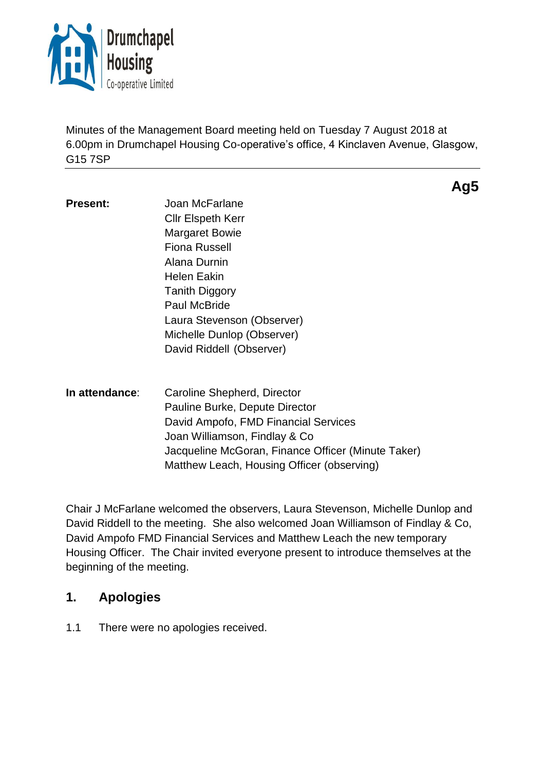

Minutes of the Management Board meeting held on Tuesday 7 August 2018 at 6.00pm in Drumchapel Housing Co-operative's office, 4 Kinclaven Avenue, Glasgow, G15 7SP

**Ag5**

| Present: | Joan McFarlane             |
|----------|----------------------------|
|          | <b>Cllr Elspeth Kerr</b>   |
|          | <b>Margaret Bowie</b>      |
|          | Fiona Russell              |
|          | Alana Durnin               |
|          | Helen Eakin                |
|          | <b>Tanith Diggory</b>      |
|          | <b>Paul McBride</b>        |
|          | Laura Stevenson (Observer) |
|          | Michelle Dunlop (Observer) |
|          | David Riddell (Observer)   |
|          |                            |

**In attendance**: Caroline Shepherd, Director Pauline Burke, Depute Director David Ampofo, FMD Financial Services Joan Williamson, Findlay & Co Jacqueline McGoran, Finance Officer (Minute Taker) Matthew Leach, Housing Officer (observing)

Chair J McFarlane welcomed the observers, Laura Stevenson, Michelle Dunlop and David Riddell to the meeting. She also welcomed Joan Williamson of Findlay & Co, David Ampofo FMD Financial Services and Matthew Leach the new temporary Housing Officer. The Chair invited everyone present to introduce themselves at the beginning of the meeting.

## **1. Apologies**

1.1 There were no apologies received.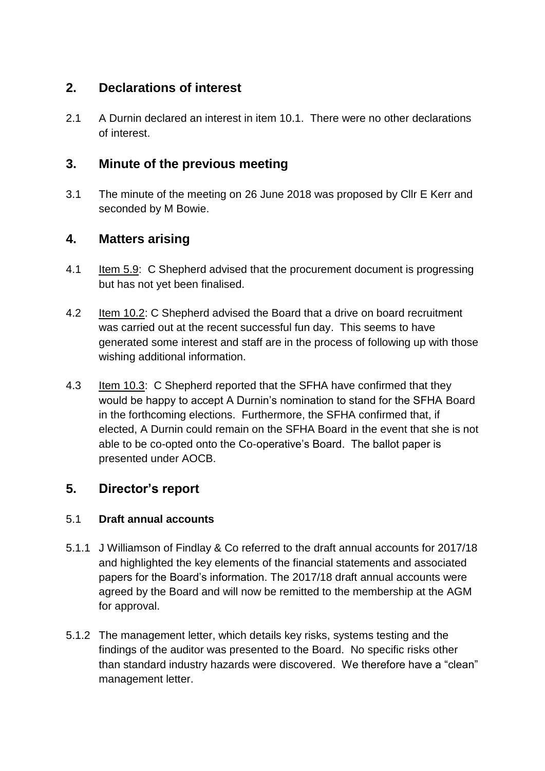# **2. Declarations of interest**

2.1 A Durnin declared an interest in item 10.1. There were no other declarations of interest.

# **3. Minute of the previous meeting**

3.1 The minute of the meeting on 26 June 2018 was proposed by Cllr E Kerr and seconded by M Bowie.

# **4. Matters arising**

- 4.1 Item 5.9: C Shepherd advised that the procurement document is progressing but has not yet been finalised.
- 4.2 Item 10.2: C Shepherd advised the Board that a drive on board recruitment was carried out at the recent successful fun day. This seems to have generated some interest and staff are in the process of following up with those wishing additional information.
- 4.3 Item 10.3: C Shepherd reported that the SFHA have confirmed that they would be happy to accept A Durnin's nomination to stand for the SFHA Board in the forthcoming elections. Furthermore, the SFHA confirmed that, if elected, A Durnin could remain on the SFHA Board in the event that she is not able to be co-opted onto the Co-operative's Board. The ballot paper is presented under AOCB.

# **5. Director's report**

## 5.1 **Draft annual accounts**

- 5.1.1 J Williamson of Findlay & Co referred to the draft annual accounts for 2017/18 and highlighted the key elements of the financial statements and associated papers for the Board's information. The 2017/18 draft annual accounts were agreed by the Board and will now be remitted to the membership at the AGM for approval.
- 5.1.2 The management letter, which details key risks, systems testing and the findings of the auditor was presented to the Board. No specific risks other than standard industry hazards were discovered. We therefore have a "clean" management letter.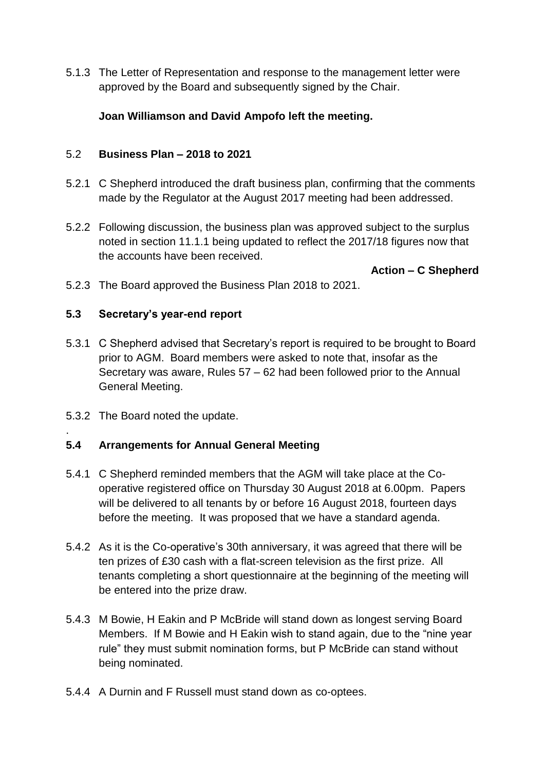5.1.3 The Letter of Representation and response to the management letter were approved by the Board and subsequently signed by the Chair.

## **Joan Williamson and David Ampofo left the meeting.**

#### 5.2 **Business Plan – 2018 to 2021**

- 5.2.1 C Shepherd introduced the draft business plan, confirming that the comments made by the Regulator at the August 2017 meeting had been addressed.
- 5.2.2 Following discussion, the business plan was approved subject to the surplus noted in section 11.1.1 being updated to reflect the 2017/18 figures now that the accounts have been received.

**Action – C Shepherd**

5.2.3 The Board approved the Business Plan 2018 to 2021.

## **5.3 Secretary's year-end report**

- 5.3.1 C Shepherd advised that Secretary's report is required to be brought to Board prior to AGM. Board members were asked to note that, insofar as the Secretary was aware, Rules 57 – 62 had been followed prior to the Annual General Meeting.
- 5.3.2 The Board noted the update.

.

#### **5.4 Arrangements for Annual General Meeting**

- 5.4.1 C Shepherd reminded members that the AGM will take place at the Cooperative registered office on Thursday 30 August 2018 at 6.00pm. Papers will be delivered to all tenants by or before 16 August 2018, fourteen days before the meeting. It was proposed that we have a standard agenda.
- 5.4.2 As it is the Co-operative's 30th anniversary, it was agreed that there will be ten prizes of £30 cash with a flat-screen television as the first prize. All tenants completing a short questionnaire at the beginning of the meeting will be entered into the prize draw.
- 5.4.3 M Bowie, H Eakin and P McBride will stand down as longest serving Board Members. If M Bowie and H Eakin wish to stand again, due to the "nine year rule" they must submit nomination forms, but P McBride can stand without being nominated.
- 5.4.4 A Durnin and F Russell must stand down as co-optees.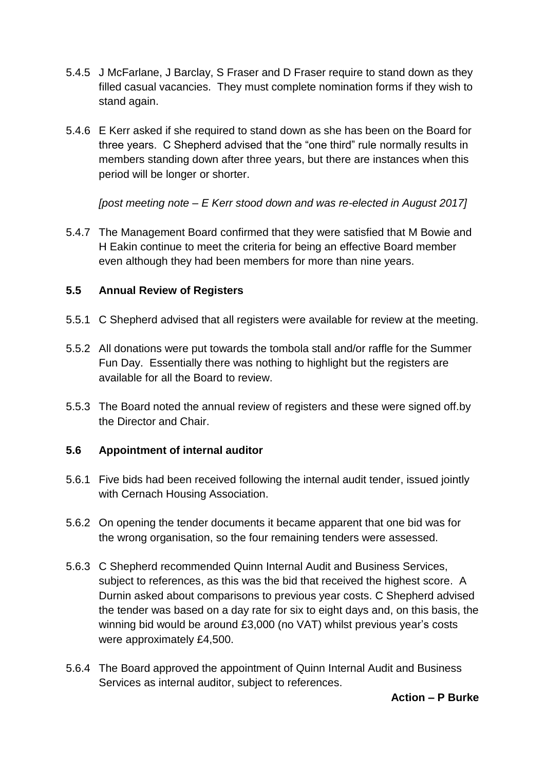- 5.4.5 J McFarlane, J Barclay, S Fraser and D Fraser require to stand down as they filled casual vacancies. They must complete nomination forms if they wish to stand again.
- 5.4.6 E Kerr asked if she required to stand down as she has been on the Board for three years. C Shepherd advised that the "one third" rule normally results in members standing down after three years, but there are instances when this period will be longer or shorter.

*[post meeting note – E Kerr stood down and was re-elected in August 2017]*

5.4.7 The Management Board confirmed that they were satisfied that M Bowie and H Eakin continue to meet the criteria for being an effective Board member even although they had been members for more than nine years.

## **5.5 Annual Review of Registers**

- 5.5.1 C Shepherd advised that all registers were available for review at the meeting.
- 5.5.2 All donations were put towards the tombola stall and/or raffle for the Summer Fun Day. Essentially there was nothing to highlight but the registers are available for all the Board to review.
- 5.5.3 The Board noted the annual review of registers and these were signed off.by the Director and Chair.

#### **5.6 Appointment of internal auditor**

- 5.6.1 Five bids had been received following the internal audit tender, issued jointly with Cernach Housing Association.
- 5.6.2 On opening the tender documents it became apparent that one bid was for the wrong organisation, so the four remaining tenders were assessed.
- 5.6.3 C Shepherd recommended Quinn Internal Audit and Business Services, subject to references, as this was the bid that received the highest score. A Durnin asked about comparisons to previous year costs. C Shepherd advised the tender was based on a day rate for six to eight days and, on this basis, the winning bid would be around £3,000 (no VAT) whilst previous year's costs were approximately £4,500.
- 5.6.4 The Board approved the appointment of Quinn Internal Audit and Business Services as internal auditor, subject to references.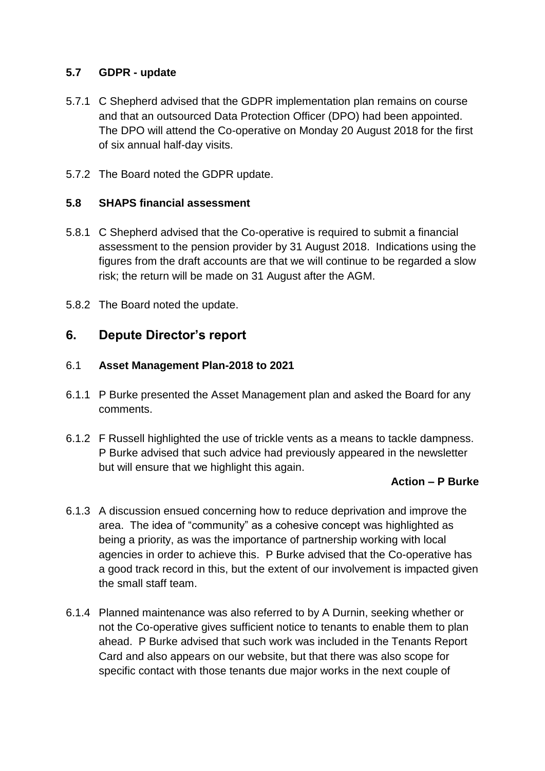#### **5.7 GDPR - update**

- 5.7.1 C Shepherd advised that the GDPR implementation plan remains on course and that an outsourced Data Protection Officer (DPO) had been appointed. The DPO will attend the Co-operative on Monday 20 August 2018 for the first of six annual half-day visits.
- 5.7.2 The Board noted the GDPR update.

#### **5.8 SHAPS financial assessment**

- 5.8.1 C Shepherd advised that the Co-operative is required to submit a financial assessment to the pension provider by 31 August 2018. Indications using the figures from the draft accounts are that we will continue to be regarded a slow risk; the return will be made on 31 August after the AGM.
- 5.8.2 The Board noted the update.

## **6. Depute Director's report**

#### 6.1 **Asset Management Plan-2018 to 2021**

- 6.1.1 P Burke presented the Asset Management plan and asked the Board for any comments.
- 6.1.2 F Russell highlighted the use of trickle vents as a means to tackle dampness. P Burke advised that such advice had previously appeared in the newsletter but will ensure that we highlight this again.

#### **Action – P Burke**

- 6.1.3 A discussion ensued concerning how to reduce deprivation and improve the area. The idea of "community" as a cohesive concept was highlighted as being a priority, as was the importance of partnership working with local agencies in order to achieve this. P Burke advised that the Co-operative has a good track record in this, but the extent of our involvement is impacted given the small staff team.
- 6.1.4 Planned maintenance was also referred to by A Durnin, seeking whether or not the Co-operative gives sufficient notice to tenants to enable them to plan ahead. P Burke advised that such work was included in the Tenants Report Card and also appears on our website, but that there was also scope for specific contact with those tenants due major works in the next couple of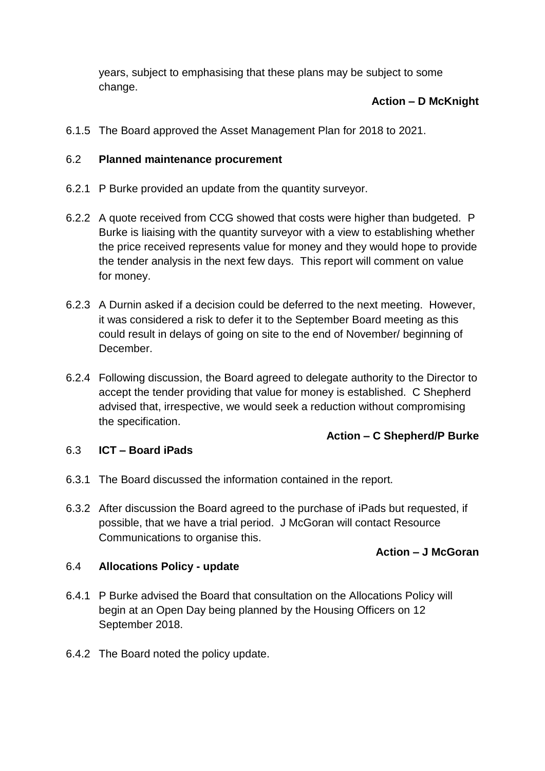years, subject to emphasising that these plans may be subject to some change.

## **Action – D McKnight**

6.1.5 The Board approved the Asset Management Plan for 2018 to 2021.

## 6.2 **Planned maintenance procurement**

- 6.2.1 P Burke provided an update from the quantity surveyor.
- 6.2.2 A quote received from CCG showed that costs were higher than budgeted. P Burke is liaising with the quantity surveyor with a view to establishing whether the price received represents value for money and they would hope to provide the tender analysis in the next few days. This report will comment on value for money.
- 6.2.3 A Durnin asked if a decision could be deferred to the next meeting. However, it was considered a risk to defer it to the September Board meeting as this could result in delays of going on site to the end of November/ beginning of December.
- 6.2.4 Following discussion, the Board agreed to delegate authority to the Director to accept the tender providing that value for money is established. C Shepherd advised that, irrespective, we would seek a reduction without compromising the specification.

## **Action – C Shepherd/P Burke**

#### 6.3 **ICT – Board iPads**

- 6.3.1 The Board discussed the information contained in the report.
- 6.3.2 After discussion the Board agreed to the purchase of iPads but requested, if possible, that we have a trial period. J McGoran will contact Resource Communications to organise this.

#### **Action – J McGoran**

#### 6.4 **Allocations Policy - update**

- 6.4.1 P Burke advised the Board that consultation on the Allocations Policy will begin at an Open Day being planned by the Housing Officers on 12 September 2018.
- 6.4.2 The Board noted the policy update.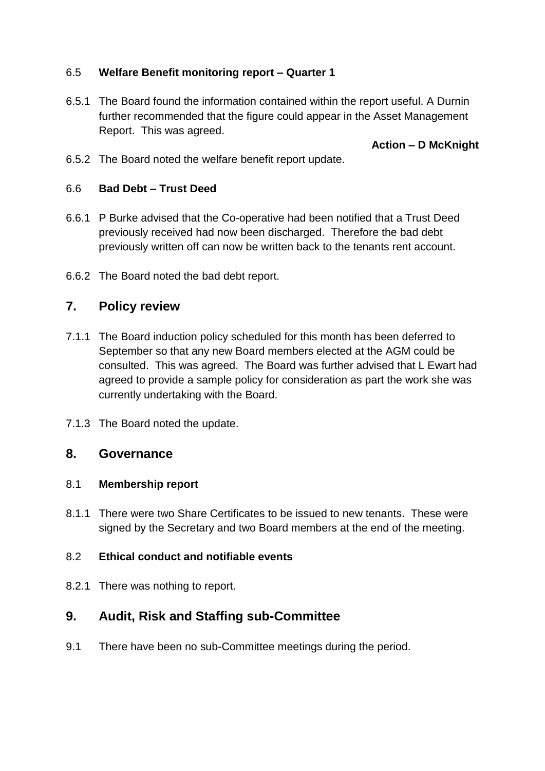## 6.5 **Welfare Benefit monitoring report – Quarter 1**

6.5.1 The Board found the information contained within the report useful. A Durnin further recommended that the figure could appear in the Asset Management Report. This was agreed.

## **Action – D McKnight**

6.5.2 The Board noted the welfare benefit report update.

#### 6.6 **Bad Debt – Trust Deed**

- 6.6.1 P Burke advised that the Co-operative had been notified that a Trust Deed previously received had now been discharged. Therefore the bad debt previously written off can now be written back to the tenants rent account.
- 6.6.2 The Board noted the bad debt report.

## **7. Policy review**

- 7.1.1 The Board induction policy scheduled for this month has been deferred to September so that any new Board members elected at the AGM could be consulted. This was agreed. The Board was further advised that L Ewart had agreed to provide a sample policy for consideration as part the work she was currently undertaking with the Board.
- 7.1.3 The Board noted the update.

#### **8. Governance**

#### 8.1 **Membership report**

8.1.1 There were two Share Certificates to be issued to new tenants. These were signed by the Secretary and two Board members at the end of the meeting.

#### 8.2 **Ethical conduct and notifiable events**

8.2.1 There was nothing to report.

# **9. Audit, Risk and Staffing sub-Committee**

9.1 There have been no sub-Committee meetings during the period.